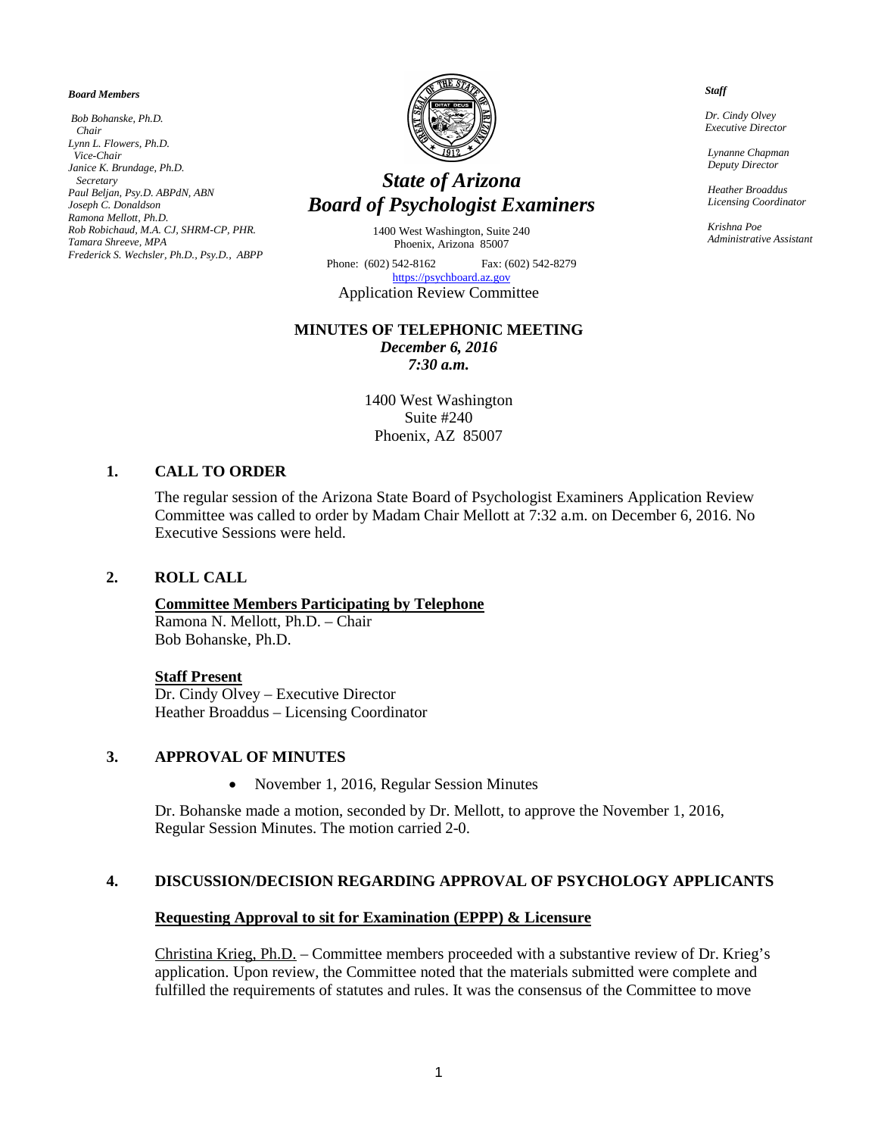#### *Board Members*

*Bob Bohanske, Ph.D. Chair Lynn L. Flowers, Ph.D. Vice-Chair Janice K. Brundage, Ph.D. Secretary Paul Beljan, Psy.D. ABPdN, ABN Joseph C. Donaldson Ramona Mellott, Ph.D. Rob Robichaud, M.A. CJ, SHRM-CP, PHR. Tamara Shreeve, MPA Frederick S. Wechsler, Ph.D., Psy.D., ABPP*



# *State of Arizona Board of Psychologist Examiners*

1400 West Washington, Suite 240 Phoenix, Arizona 85007

Phone: (602) 542-8162 Fax: (602) 542-8279 [https://psychboard.az.gov](https://psychboard.az.gov/)  Application Review Committee

#### **MINUTES OF TELEPHONIC MEETING**

*December 6, 2016 7:30 a.m.*

1400 West Washington Suite #240 Phoenix, AZ 85007

#### **1. CALL TO ORDER**

The regular session of the Arizona State Board of Psychologist Examiners Application Review Committee was called to order by Madam Chair Mellott at 7:32 a.m. on December 6, 2016. No Executive Sessions were held.

#### **2. ROLL CALL**

#### **Committee Members Participating by Telephone**

Ramona N. Mellott, Ph.D. – Chair Bob Bohanske, Ph.D.

#### **Staff Present**

Dr. Cindy Olvey – Executive Director Heather Broaddus – Licensing Coordinator

#### **3. APPROVAL OF MINUTES**

• November 1, 2016, Regular Session Minutes

Dr. Bohanske made a motion, seconded by Dr. Mellott, to approve the November 1, 2016, Regular Session Minutes. The motion carried 2-0.

#### **4. DISCUSSION/DECISION REGARDING APPROVAL OF PSYCHOLOGY APPLICANTS**

#### **Requesting Approval to sit for Examination (EPPP) & Licensure**

Christina Krieg, Ph.D. – Committee members proceeded with a substantive review of Dr. Krieg's application. Upon review, the Committee noted that the materials submitted were complete and fulfilled the requirements of statutes and rules. It was the consensus of the Committee to move

 *Staff*

 *Dr. Cindy Olvey Executive Director*

 *Lynanne Chapman Deputy Director*

 *Heather Broaddus Licensing Coordinator*

 *Krishna Poe Administrative Assistant*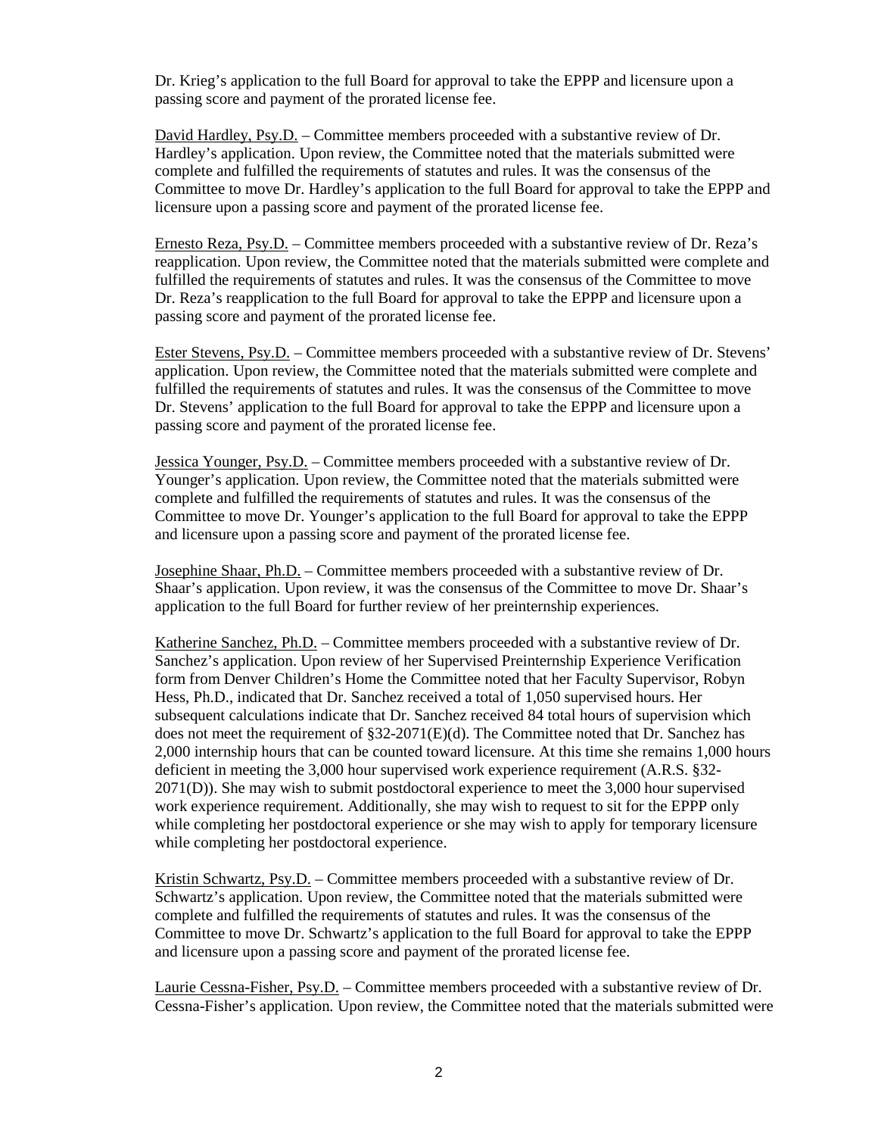Dr. Krieg's application to the full Board for approval to take the EPPP and licensure upon a passing score and payment of the prorated license fee.

David Hardley, Psy.D. – Committee members proceeded with a substantive review of Dr. Hardley's application. Upon review, the Committee noted that the materials submitted were complete and fulfilled the requirements of statutes and rules. It was the consensus of the Committee to move Dr. Hardley's application to the full Board for approval to take the EPPP and licensure upon a passing score and payment of the prorated license fee.

Ernesto Reza, Psy.D. – Committee members proceeded with a substantive review of Dr. Reza's reapplication. Upon review, the Committee noted that the materials submitted were complete and fulfilled the requirements of statutes and rules. It was the consensus of the Committee to move Dr. Reza's reapplication to the full Board for approval to take the EPPP and licensure upon a passing score and payment of the prorated license fee.

Ester Stevens, Psy.D. – Committee members proceeded with a substantive review of Dr. Stevens' application. Upon review, the Committee noted that the materials submitted were complete and fulfilled the requirements of statutes and rules. It was the consensus of the Committee to move Dr. Stevens' application to the full Board for approval to take the EPPP and licensure upon a passing score and payment of the prorated license fee.

Jessica Younger, Psy.D. – Committee members proceeded with a substantive review of Dr. Younger's application. Upon review, the Committee noted that the materials submitted were complete and fulfilled the requirements of statutes and rules. It was the consensus of the Committee to move Dr. Younger's application to the full Board for approval to take the EPPP and licensure upon a passing score and payment of the prorated license fee.

Josephine Shaar, Ph.D. – Committee members proceeded with a substantive review of Dr. Shaar's application. Upon review, it was the consensus of the Committee to move Dr. Shaar's application to the full Board for further review of her preinternship experiences.

Katherine Sanchez, Ph.D. – Committee members proceeded with a substantive review of Dr. Sanchez's application. Upon review of her Supervised Preinternship Experience Verification form from Denver Children's Home the Committee noted that her Faculty Supervisor, Robyn Hess, Ph.D., indicated that Dr. Sanchez received a total of 1,050 supervised hours. Her subsequent calculations indicate that Dr. Sanchez received 84 total hours of supervision which does not meet the requirement of §32-2071(E)(d). The Committee noted that Dr. Sanchez has 2,000 internship hours that can be counted toward licensure. At this time she remains 1,000 hours deficient in meeting the 3,000 hour supervised work experience requirement (A.R.S. §32- 2071(D)). She may wish to submit postdoctoral experience to meet the 3,000 hour supervised work experience requirement. Additionally, she may wish to request to sit for the EPPP only while completing her postdoctoral experience or she may wish to apply for temporary licensure while completing her postdoctoral experience.

Kristin Schwartz, Psy.D. – Committee members proceeded with a substantive review of Dr. Schwartz's application. Upon review, the Committee noted that the materials submitted were complete and fulfilled the requirements of statutes and rules. It was the consensus of the Committee to move Dr. Schwartz's application to the full Board for approval to take the EPPP and licensure upon a passing score and payment of the prorated license fee.

Laurie Cessna-Fisher, Psy.D. – Committee members proceeded with a substantive review of Dr. Cessna-Fisher's application. Upon review, the Committee noted that the materials submitted were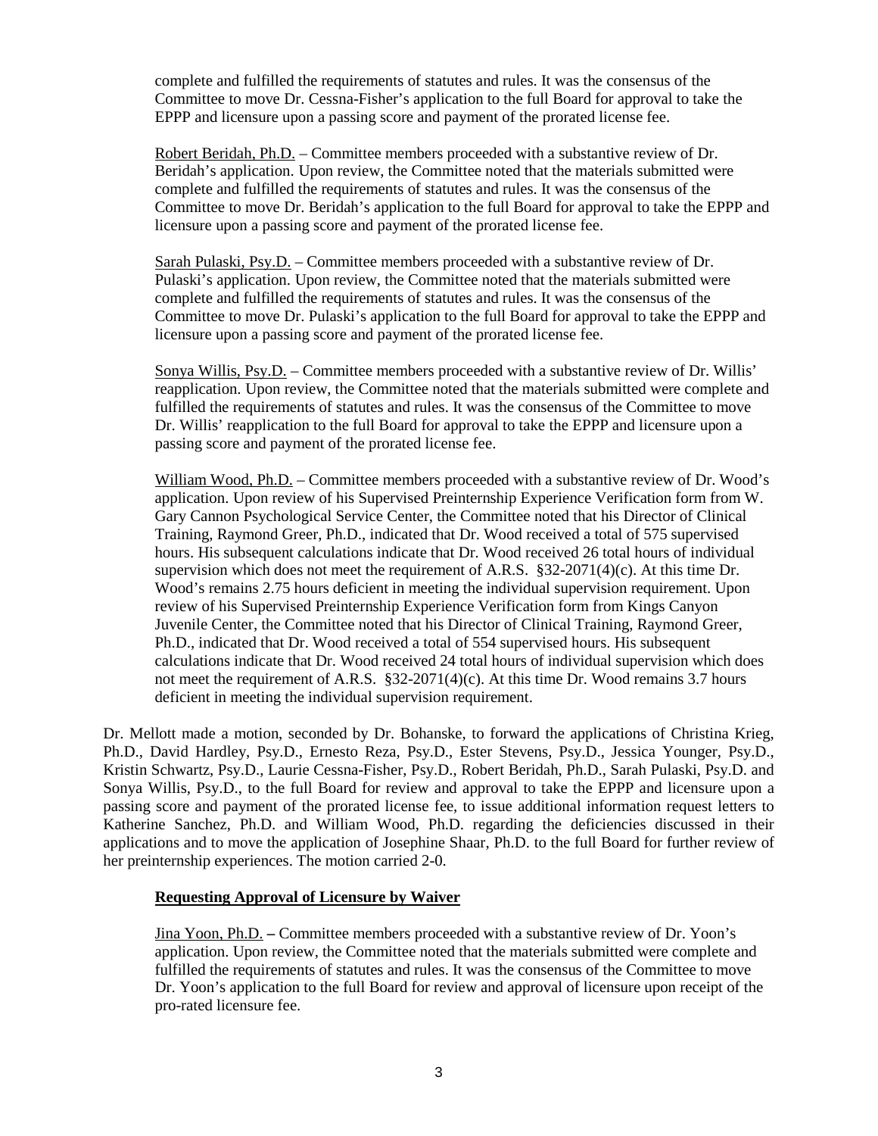complete and fulfilled the requirements of statutes and rules. It was the consensus of the Committee to move Dr. Cessna-Fisher's application to the full Board for approval to take the EPPP and licensure upon a passing score and payment of the prorated license fee.

Robert Beridah, Ph.D. – Committee members proceeded with a substantive review of Dr. Beridah's application. Upon review, the Committee noted that the materials submitted were complete and fulfilled the requirements of statutes and rules. It was the consensus of the Committee to move Dr. Beridah's application to the full Board for approval to take the EPPP and licensure upon a passing score and payment of the prorated license fee.

Sarah Pulaski, Psy.D. – Committee members proceeded with a substantive review of Dr. Pulaski's application. Upon review, the Committee noted that the materials submitted were complete and fulfilled the requirements of statutes and rules. It was the consensus of the Committee to move Dr. Pulaski's application to the full Board for approval to take the EPPP and licensure upon a passing score and payment of the prorated license fee.

Sonya Willis, Psy.D. – Committee members proceeded with a substantive review of Dr. Willis' reapplication. Upon review, the Committee noted that the materials submitted were complete and fulfilled the requirements of statutes and rules. It was the consensus of the Committee to move Dr. Willis' reapplication to the full Board for approval to take the EPPP and licensure upon a passing score and payment of the prorated license fee.

William Wood, Ph.D. – Committee members proceeded with a substantive review of Dr. Wood's application. Upon review of his Supervised Preinternship Experience Verification form from W. Gary Cannon Psychological Service Center, the Committee noted that his Director of Clinical Training, Raymond Greer, Ph.D., indicated that Dr. Wood received a total of 575 supervised hours. His subsequent calculations indicate that Dr. Wood received 26 total hours of individual supervision which does not meet the requirement of A.R.S. §32-2071(4)(c). At this time Dr. Wood's remains 2.75 hours deficient in meeting the individual supervision requirement. Upon review of his Supervised Preinternship Experience Verification form from Kings Canyon Juvenile Center, the Committee noted that his Director of Clinical Training, Raymond Greer, Ph.D., indicated that Dr. Wood received a total of 554 supervised hours. His subsequent calculations indicate that Dr. Wood received 24 total hours of individual supervision which does not meet the requirement of A.R.S. §32-2071(4)(c). At this time Dr. Wood remains 3.7 hours deficient in meeting the individual supervision requirement.

Dr. Mellott made a motion, seconded by Dr. Bohanske, to forward the applications of Christina Krieg, Ph.D., David Hardley, Psy.D., Ernesto Reza, Psy.D., Ester Stevens, Psy.D., Jessica Younger, Psy.D., Kristin Schwartz, Psy.D., Laurie Cessna-Fisher, Psy.D., Robert Beridah, Ph.D., Sarah Pulaski, Psy.D. and Sonya Willis, Psy.D., to the full Board for review and approval to take the EPPP and licensure upon a passing score and payment of the prorated license fee, to issue additional information request letters to Katherine Sanchez, Ph.D. and William Wood, Ph.D. regarding the deficiencies discussed in their applications and to move the application of Josephine Shaar, Ph.D. to the full Board for further review of her preinternship experiences. The motion carried 2-0.

## **Requesting Approval of Licensure by Waiver**

Jina Yoon, Ph.D. **–** Committee members proceeded with a substantive review of Dr. Yoon's application. Upon review, the Committee noted that the materials submitted were complete and fulfilled the requirements of statutes and rules. It was the consensus of the Committee to move Dr. Yoon's application to the full Board for review and approval of licensure upon receipt of the pro-rated licensure fee.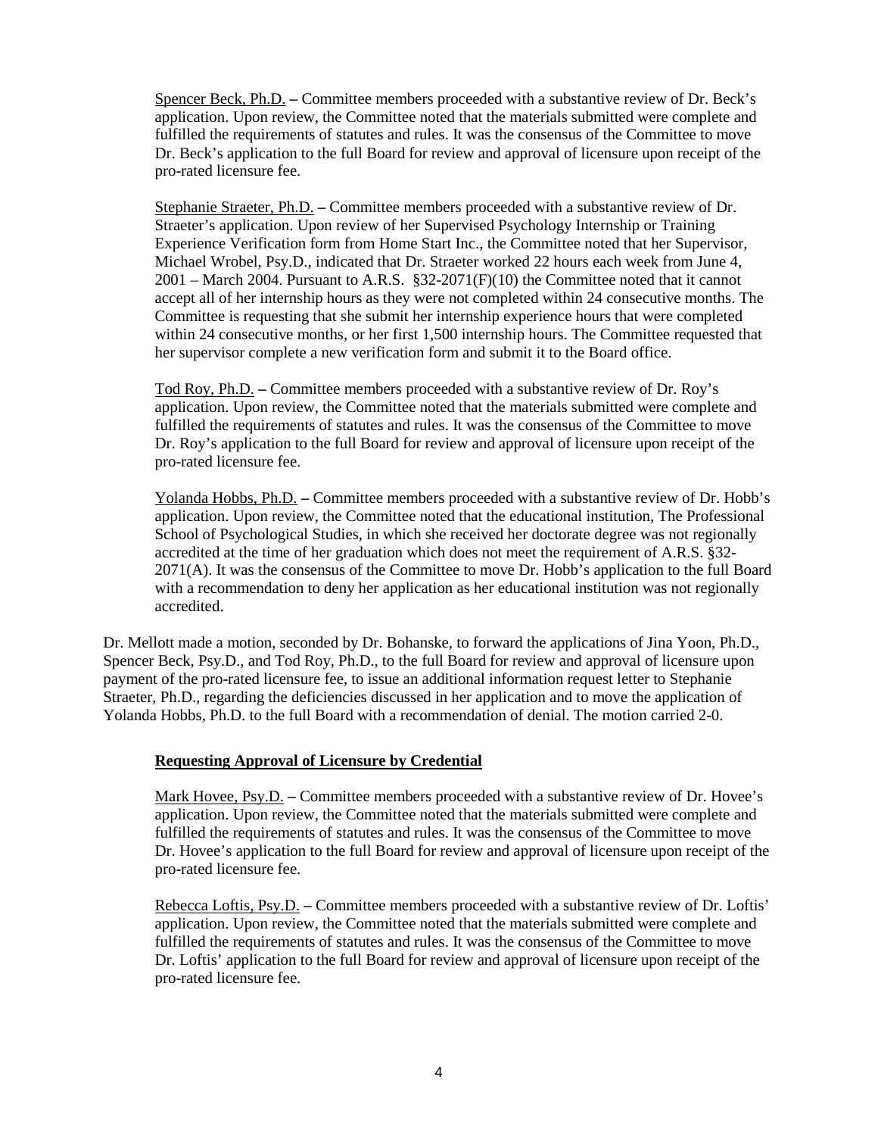Spencer Beck, Ph.D. **–** Committee members proceeded with a substantive review of Dr. Beck's application. Upon review, the Committee noted that the materials submitted were complete and fulfilled the requirements of statutes and rules. It was the consensus of the Committee to move Dr. Beck's application to the full Board for review and approval of licensure upon receipt of the pro-rated licensure fee.

Stephanie Straeter, Ph.D. **–** Committee members proceeded with a substantive review of Dr. Straeter's application. Upon review of her Supervised Psychology Internship or Training Experience Verification form from Home Start Inc., the Committee noted that her Supervisor, Michael Wrobel, Psy.D., indicated that Dr. Straeter worked 22 hours each week from June 4,  $2001$  – March 2004. Pursuant to A.R.S. §32-2071(F)(10) the Committee noted that it cannot accept all of her internship hours as they were not completed within 24 consecutive months. The Committee is requesting that she submit her internship experience hours that were completed within 24 consecutive months, or her first 1,500 internship hours. The Committee requested that her supervisor complete a new verification form and submit it to the Board office.

Tod Roy, Ph.D. **–** Committee members proceeded with a substantive review of Dr. Roy's application. Upon review, the Committee noted that the materials submitted were complete and fulfilled the requirements of statutes and rules. It was the consensus of the Committee to move Dr. Roy's application to the full Board for review and approval of licensure upon receipt of the pro-rated licensure fee.

Yolanda Hobbs, Ph.D. **–** Committee members proceeded with a substantive review of Dr. Hobb's application. Upon review, the Committee noted that the educational institution, The Professional School of Psychological Studies, in which she received her doctorate degree was not regionally accredited at the time of her graduation which does not meet the requirement of A.R.S. §32- 2071(A). It was the consensus of the Committee to move Dr. Hobb's application to the full Board with a recommendation to deny her application as her educational institution was not regionally accredited.

Dr. Mellott made a motion, seconded by Dr. Bohanske, to forward the applications of Jina Yoon, Ph.D., Spencer Beck, Psy.D., and Tod Roy, Ph.D., to the full Board for review and approval of licensure upon payment of the pro-rated licensure fee, to issue an additional information request letter to Stephanie Straeter, Ph.D., regarding the deficiencies discussed in her application and to move the application of Yolanda Hobbs, Ph.D. to the full Board with a recommendation of denial. The motion carried 2-0.

## **Requesting Approval of Licensure by Credential**

Mark Hovee, Psy.D. **–** Committee members proceeded with a substantive review of Dr. Hovee's application. Upon review, the Committee noted that the materials submitted were complete and fulfilled the requirements of statutes and rules. It was the consensus of the Committee to move Dr. Hovee's application to the full Board for review and approval of licensure upon receipt of the pro-rated licensure fee.

Rebecca Loftis, Psy.D. **–** Committee members proceeded with a substantive review of Dr. Loftis' application. Upon review, the Committee noted that the materials submitted were complete and fulfilled the requirements of statutes and rules. It was the consensus of the Committee to move Dr. Loftis' application to the full Board for review and approval of licensure upon receipt of the pro-rated licensure fee.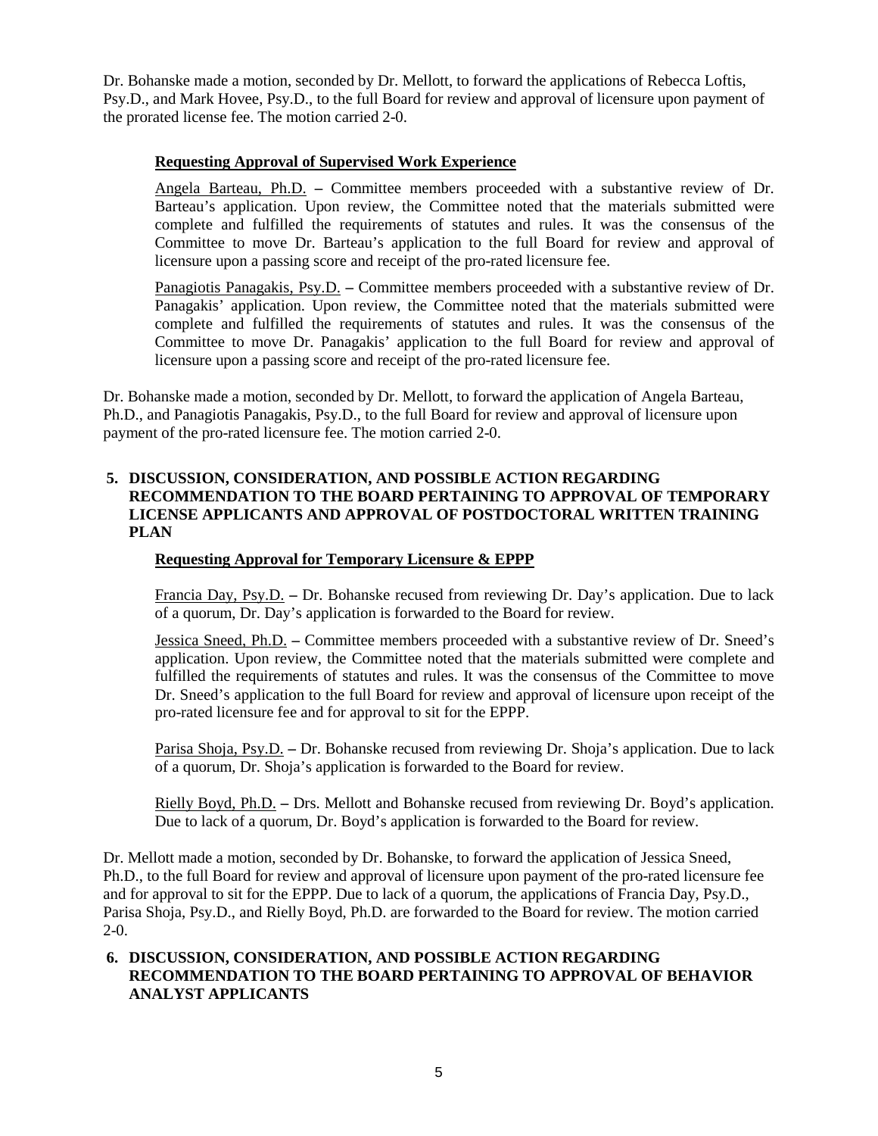Dr. Bohanske made a motion, seconded by Dr. Mellott, to forward the applications of Rebecca Loftis, Psy.D., and Mark Hovee, Psy.D., to the full Board for review and approval of licensure upon payment of the prorated license fee. The motion carried 2-0.

## **Requesting Approval of Supervised Work Experience**

Angela Barteau, Ph.D. **–** Committee members proceeded with a substantive review of Dr. Barteau's application. Upon review, the Committee noted that the materials submitted were complete and fulfilled the requirements of statutes and rules. It was the consensus of the Committee to move Dr. Barteau's application to the full Board for review and approval of licensure upon a passing score and receipt of the pro-rated licensure fee.

Panagiotis Panagakis, Psy.D. **–** Committee members proceeded with a substantive review of Dr. Panagakis' application. Upon review, the Committee noted that the materials submitted were complete and fulfilled the requirements of statutes and rules. It was the consensus of the Committee to move Dr. Panagakis' application to the full Board for review and approval of licensure upon a passing score and receipt of the pro-rated licensure fee.

Dr. Bohanske made a motion, seconded by Dr. Mellott, to forward the application of Angela Barteau, Ph.D., and Panagiotis Panagakis, Psy.D., to the full Board for review and approval of licensure upon payment of the pro-rated licensure fee. The motion carried 2-0.

## **5. DISCUSSION, CONSIDERATION, AND POSSIBLE ACTION REGARDING RECOMMENDATION TO THE BOARD PERTAINING TO APPROVAL OF TEMPORARY LICENSE APPLICANTS AND APPROVAL OF POSTDOCTORAL WRITTEN TRAINING PLAN**

## **Requesting Approval for Temporary Licensure & EPPP**

Francia Day, Psy.D. **–** Dr. Bohanske recused from reviewing Dr. Day's application. Due to lack of a quorum, Dr. Day's application is forwarded to the Board for review.

Jessica Sneed, Ph.D. **–** Committee members proceeded with a substantive review of Dr. Sneed's application. Upon review, the Committee noted that the materials submitted were complete and fulfilled the requirements of statutes and rules. It was the consensus of the Committee to move Dr. Sneed's application to the full Board for review and approval of licensure upon receipt of the pro-rated licensure fee and for approval to sit for the EPPP.

Parisa Shoja, Psy.D. **–** Dr. Bohanske recused from reviewing Dr. Shoja's application. Due to lack of a quorum, Dr. Shoja's application is forwarded to the Board for review.

Rielly Boyd, Ph.D. **–** Drs. Mellott and Bohanske recused from reviewing Dr. Boyd's application. Due to lack of a quorum, Dr. Boyd's application is forwarded to the Board for review.

Dr. Mellott made a motion, seconded by Dr. Bohanske, to forward the application of Jessica Sneed, Ph.D., to the full Board for review and approval of licensure upon payment of the pro-rated licensure fee and for approval to sit for the EPPP. Due to lack of a quorum, the applications of Francia Day, Psy.D., Parisa Shoja, Psy.D., and Rielly Boyd, Ph.D. are forwarded to the Board for review. The motion carried 2-0.

## **6. DISCUSSION, CONSIDERATION, AND POSSIBLE ACTION REGARDING RECOMMENDATION TO THE BOARD PERTAINING TO APPROVAL OF BEHAVIOR ANALYST APPLICANTS**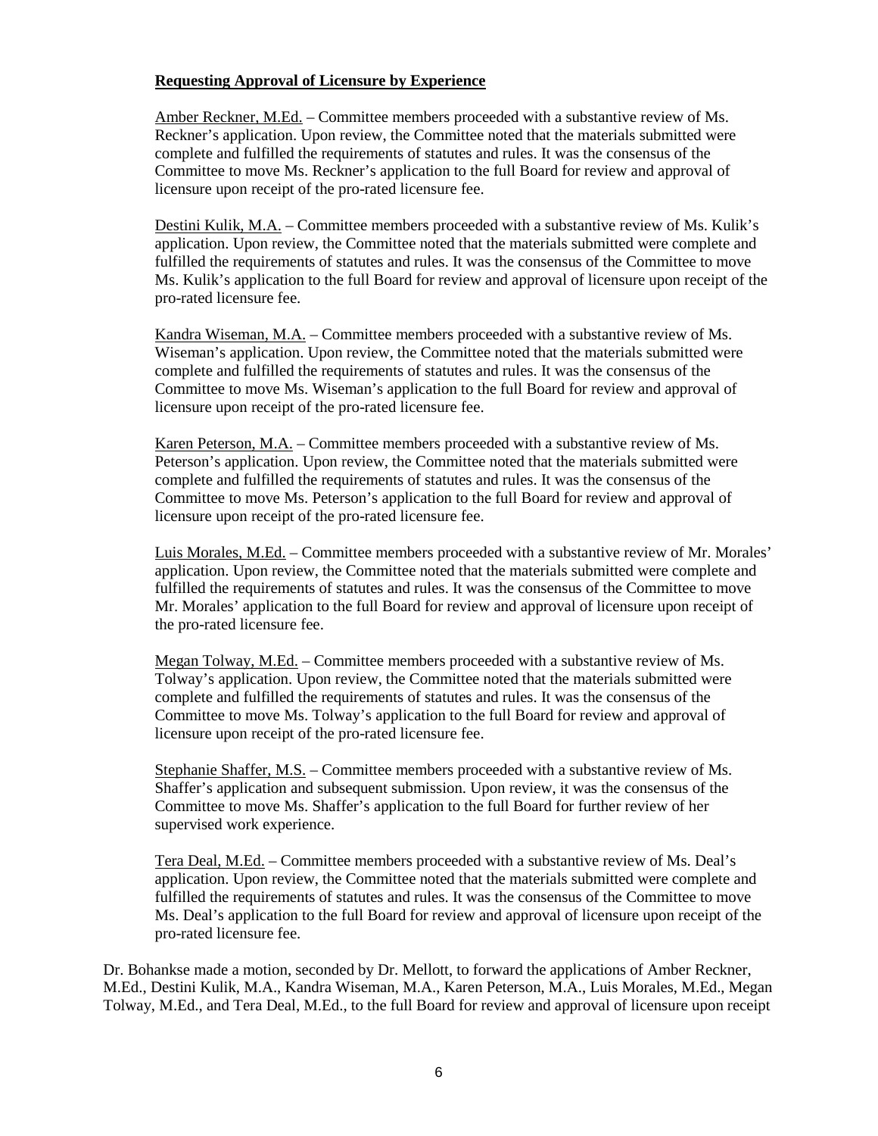## **Requesting Approval of Licensure by Experience**

Amber Reckner, M.Ed. – Committee members proceeded with a substantive review of Ms. Reckner's application. Upon review, the Committee noted that the materials submitted were complete and fulfilled the requirements of statutes and rules. It was the consensus of the Committee to move Ms. Reckner's application to the full Board for review and approval of licensure upon receipt of the pro-rated licensure fee.

Destini Kulik, M.A. – Committee members proceeded with a substantive review of Ms. Kulik's application. Upon review, the Committee noted that the materials submitted were complete and fulfilled the requirements of statutes and rules. It was the consensus of the Committee to move Ms. Kulik's application to the full Board for review and approval of licensure upon receipt of the pro-rated licensure fee.

Kandra Wiseman, M.A. – Committee members proceeded with a substantive review of Ms. Wiseman's application. Upon review, the Committee noted that the materials submitted were complete and fulfilled the requirements of statutes and rules. It was the consensus of the Committee to move Ms. Wiseman's application to the full Board for review and approval of licensure upon receipt of the pro-rated licensure fee.

Karen Peterson, M.A. – Committee members proceeded with a substantive review of Ms. Peterson's application. Upon review, the Committee noted that the materials submitted were complete and fulfilled the requirements of statutes and rules. It was the consensus of the Committee to move Ms. Peterson's application to the full Board for review and approval of licensure upon receipt of the pro-rated licensure fee.

Luis Morales, M.Ed. – Committee members proceeded with a substantive review of Mr. Morales' application. Upon review, the Committee noted that the materials submitted were complete and fulfilled the requirements of statutes and rules. It was the consensus of the Committee to move Mr. Morales' application to the full Board for review and approval of licensure upon receipt of the pro-rated licensure fee.

Megan Tolway, M.Ed. – Committee members proceeded with a substantive review of Ms. Tolway's application. Upon review, the Committee noted that the materials submitted were complete and fulfilled the requirements of statutes and rules. It was the consensus of the Committee to move Ms. Tolway's application to the full Board for review and approval of licensure upon receipt of the pro-rated licensure fee.

Stephanie Shaffer, M.S. – Committee members proceeded with a substantive review of Ms. Shaffer's application and subsequent submission. Upon review, it was the consensus of the Committee to move Ms. Shaffer's application to the full Board for further review of her supervised work experience.

Tera Deal, M.Ed. – Committee members proceeded with a substantive review of Ms. Deal's application. Upon review, the Committee noted that the materials submitted were complete and fulfilled the requirements of statutes and rules. It was the consensus of the Committee to move Ms. Deal's application to the full Board for review and approval of licensure upon receipt of the pro-rated licensure fee.

Dr. Bohankse made a motion, seconded by Dr. Mellott, to forward the applications of Amber Reckner, M.Ed., Destini Kulik, M.A., Kandra Wiseman, M.A., Karen Peterson, M.A., Luis Morales, M.Ed., Megan Tolway, M.Ed., and Tera Deal, M.Ed., to the full Board for review and approval of licensure upon receipt